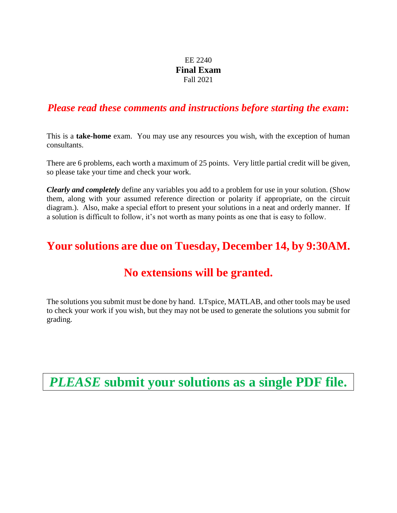### EE 2240 **Final Exam** Fall 2021

### *Please read these comments and instructions before starting the exam***:**

This is a **take-home** exam. You may use any resources you wish, with the exception of human consultants.

There are 6 problems, each worth a maximum of 25 points. Very little partial credit will be given, so please take your time and check your work.

*Clearly and completely* define any variables you add to a problem for use in your solution. (Show them, along with your assumed reference direction or polarity if appropriate, on the circuit diagram.). Also, make a special effort to present your solutions in a neat and orderly manner. If a solution is difficult to follow, it's not worth as many points as one that is easy to follow.

# **Your solutions are due on Tuesday, December 14, by 9:30AM.**

## **No extensions will be granted.**

The solutions you submit must be done by hand. LTspice, MATLAB, and other tools may be used to check your work if you wish, but they may not be used to generate the solutions you submit for grading.

*PLEASE* **submit your solutions as a single PDF file.**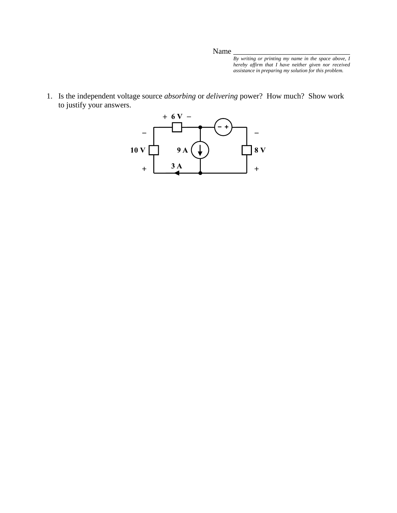*By writing or printing my name in the space above, I hereby affirm that I have neither given nor received assistance in preparing my solution for this problem.*

1. Is the independent voltage source *absorbing* or *delivering* power? How much? Show work to justify your answers.

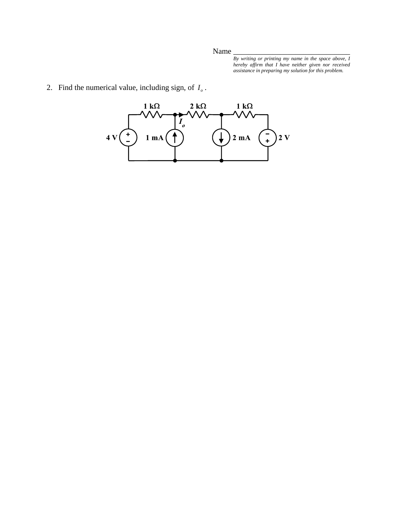*By writing or printing my name in the space above, I hereby affirm that I have neither given nor received assistance in preparing my solution for this problem.*

2. Find the numerical value, including sign, of  $I<sub>o</sub>$ .

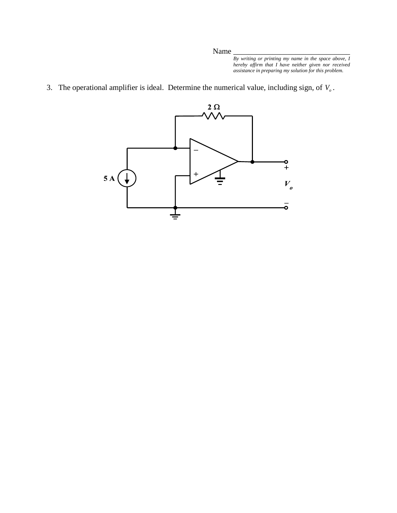*By writing or printing my name in the space above, I hereby affirm that I have neither given nor received assistance in preparing my solution for this problem.*

3. The operational amplifier is ideal. Determine the numerical value, including sign, of  $V<sub>o</sub>$ .

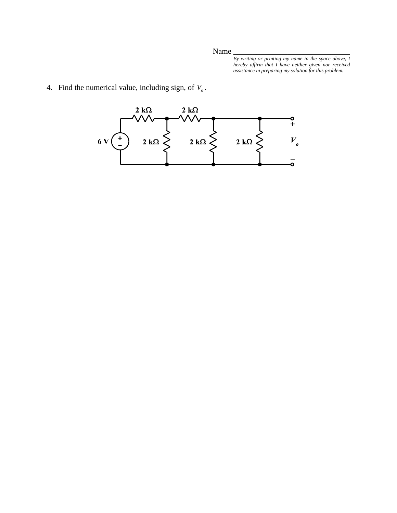*By writing or printing my name in the space above, I hereby affirm that I have neither given nor received assistance in preparing my solution for this problem.*

4. Find the numerical value, including sign, of  $V<sub>o</sub>$ .

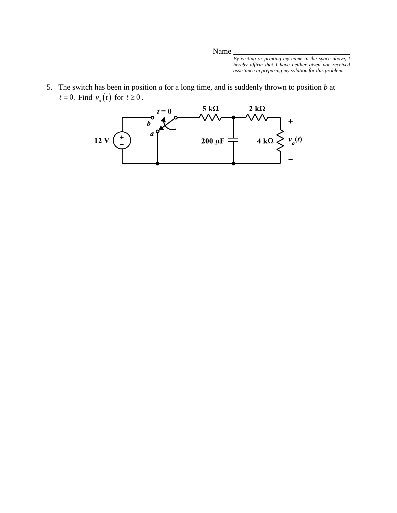Name

*By writing or printing my name in the space above, I hereby affirm that I have neither given nor received assistance in preparing my solution for this problem.*

5. The switch has been in position *a* for a long time, and is suddenly thrown to position *b* at  $t = 0$ . Find  $v_o(t)$  for  $t \ge 0$ .